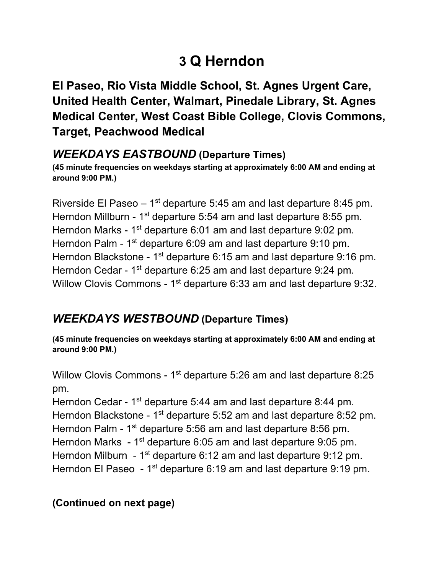# **3 Q Herndon**

 **El Paseo, Rio Vista Middle School, St. Agnes Urgent Care, United Health Center, Walmart, Pinedale Library, St. Agnes Medical Center, West Coast Bible College, Clovis Commons, Target, Peachwood Medical** 

#### *WEEKDAYS EASTBOUND* **(Departure Times)**

 **(45 minute frequencies on weekdays starting at approximately 6:00 AM and ending at around 9:00 PM.)** 

Riverside El Paseo  $-1$ <sup>st</sup> departure 5:45 am and last departure 8:45 pm. Herndon Millburn - 1<sup>st</sup> departure 5:54 am and last departure 8:55 pm. Herndon Marks - 1<sup>st</sup> departure 6:01 am and last departure 9:02 pm. Herndon Palm - 1<sup>st</sup> departure 6:09 am and last departure 9:10 pm. Herndon Blackstone - 1<sup>st</sup> departure 6:15 am and last departure 9:16 pm. Herndon Cedar - 1<sup>st</sup> departure 6:25 am and last departure 9:24 pm. Willow Clovis Commons -  $1<sup>st</sup>$  departure 6:33 am and last departure 9:32.

# *WEEKDAYS WESTBOUND* **(Departure Times)**

 **(45 minute frequencies on weekdays starting at approximately 6:00 AM and ending at around 9:00 PM.)** 

Willow Clovis Commons -  $1<sup>st</sup>$  departure 5:26 am and last departure 8:25 pm.

Herndon Cedar - 1<sup>st</sup> departure 5:44 am and last departure 8:44 pm. Herndon Blackstone - 1<sup>st</sup> departure 5:52 am and last departure 8:52 pm. Herndon Palm - 1<sup>st</sup> departure 5:56 am and last departure 8:56 pm. Herndon Marks - 1<sup>st</sup> departure 6:05 am and last departure 9:05 pm. Herndon Milburn - 1<sup>st</sup> departure 6:12 am and last departure 9:12 pm. Herndon El Paseo  $-1<sup>st</sup>$  departure 6:19 am and last departure 9:19 pm.

#### **(Continued on next page)**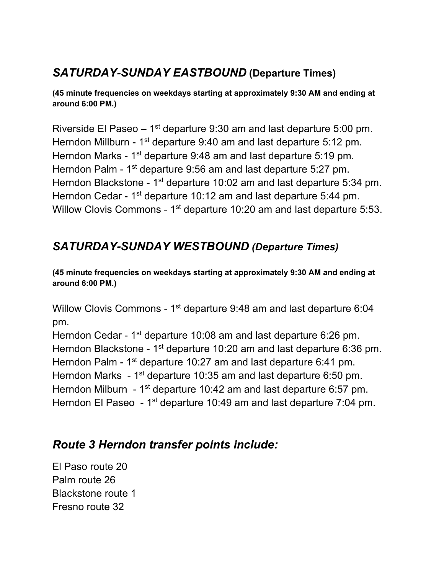# *SATURDAY-SUNDAY EASTBOUND* **(Departure Times)**

 **(45 minute frequencies on weekdays starting at approximately 9:30 AM and ending at around 6:00 PM.)** 

Riverside El Paseo  $-1$ <sup>st</sup> departure 9:30 am and last departure 5:00 pm. Herndon Millburn - 1<sup>st</sup> departure 9:40 am and last departure 5:12 pm. Herndon Marks - 1<sup>st</sup> departure 9:48 am and last departure 5:19 pm. Herndon Palm - 1<sup>st</sup> departure 9:56 am and last departure 5:27 pm. Herndon Blackstone - 1<sup>st</sup> departure 10:02 am and last departure 5:34 pm. Herndon Cedar - 1<sup>st</sup> departure 10:12 am and last departure 5:44 pm. Willow Clovis Commons -  $1<sup>st</sup>$  departure 10:20 am and last departure 5:53.

## *SATURDAY-SUNDAY WESTBOUND (Departure Times)*

 **(45 minute frequencies on weekdays starting at approximately 9:30 AM and ending at around 6:00 PM.)** 

Willow Clovis Commons -  $1<sup>st</sup>$  departure 9:48 am and last departure 6:04 pm.

Herndon Cedar - 1<sup>st</sup> departure 10:08 am and last departure 6:26 pm. Herndon Blackstone - 1<sup>st</sup> departure 10:20 am and last departure 6:36 pm. Herndon Palm - 1<sup>st</sup> departure 10:27 am and last departure 6:41 pm. Herndon Marks  $-1$ <sup>st</sup> departure 10:35 am and last departure 6:50 pm. Herndon Milburn - 1<sup>st</sup> departure 10:42 am and last departure 6:57 pm. Herndon El Paseo - 1<sup>st</sup> departure 10:49 am and last departure 7:04 pm.

#### *Route 3 Herndon transfer points include:*

 El Paso route 20 Palm route 26 Blackstone route 1 Fresno route 32